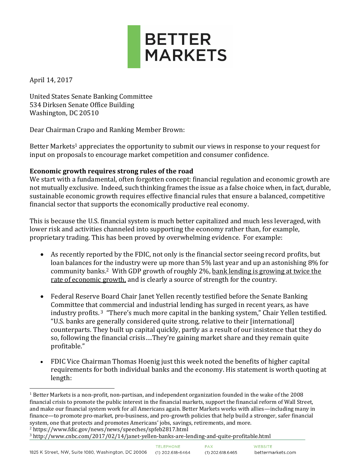

April 14, 2017

 $\overline{a}$ 

United States Senate Banking Committee 534 Dirksen Senate Office Building Washington, DC 20510

Dear Chairman Crapo and Ranking Member Brown:

Better Markets<sup>1</sup> appreciates the opportunity to submit our views in response to your request for input on proposals to encourage market competition and consumer confidence.

# **Economic growth requires strong rules of the road**

We start with a fundamental, often forgotten concept: financial regulation and economic growth are not mutually exclusive. Indeed, such thinking frames the issue as a false choice when, in fact, durable, sustainable economic growth requires effective financial rules that ensure a balanced, competitive financial sector that supports the economically productive real economy.

This is because the U.S. financial system is much better capitalized and much less leveraged, with lower risk and activities channeled into supporting the economy rather than, for example, proprietary trading. This has been proved by overwhelming evidence. For example:

- As recently reported by the FDIC, not only is the financial sector seeing record profits, but loan balances for the industry were up more than 5% last year and up an astonishing 8% for community banks.2 With GDP growth of roughly 2%, bank lending is growing at twice the rate of economic growth, and is clearly a source of strength for the country.
- Federal Reserve Board Chair Janet Yellen recently testified before the Senate Banking Committee that commercial and industrial lending has surged in recent years, as have industry profits. <sup>3</sup> "There's much more capital in the banking system," Chair Yellen testified. "U.S. banks are generally considered quite strong, relative to their [international] counterparts. They built up capital quickly, partly as a result of our insistence that they do so, following the financial crisis….They're gaining market share and they remain quite profitable."
- FDIC Vice Chairman Thomas Hoenig just this week noted the benefits of higher capital requirements for both individual banks and the economy. His statement is worth quoting at length:

 $1$  Better Markets is a non-profit, non-partisan, and independent organization founded in the wake of the 2008 financial crisis to promote the public interest in the financial markets, support the financial reform of Wall Street, and make our financial system work for all Americans again. Better Markets works with allies—including many in finance—to promote pro-market, pro-business, and pro-growth policies that help build a stronger, safer financial system, one that protects and promotes Americans' jobs, savings, retirements, and more.

<sup>2</sup> https://www.fdic.gov/news/news/speeches/spfeb2817.html

<sup>3</sup> http://www.cnbc.com/2017/02/14/janet-yellen-banks-are-lending-and-quite-profitable.html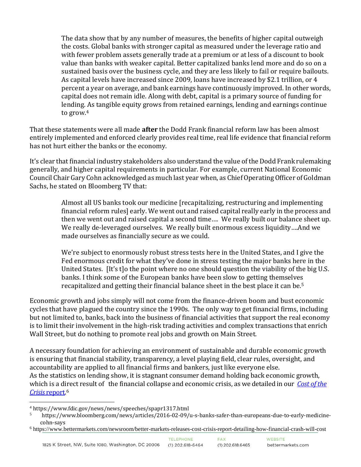The data show that by any number of measures, the benefits of higher capital outweigh the costs. Global banks with stronger capital as measured under the leverage ratio and with fewer problem assets generally trade at a premium or at less of a discount to book value than banks with weaker capital. Better capitalized banks lend more and do so on a sustained basis over the business cycle, and they are less likely to fail or require bailouts. As capital levels have increased since 2009, loans have increased by \$2.1 trillion, or 4 percent a year on average, and bank earnings have continuously improved. In other words, capital does not remain idle. Along with debt, capital is a primary source of funding for lending. As tangible equity grows from retained earnings, lending and earnings continue to grow.<sup>4</sup>

That these statements were all made **after** the Dodd Frank financial reform law has been almost entirely implemented and enforced clearly provides real time, real life evidence that financial reform has not hurt either the banks or the economy.

It's clear that financial industry stakeholders also understand the value of the Dodd Frank rulemaking generally, and higher capital requirements in particular. For example, current National Economic Council Chair Gary Cohn acknowledged as much last year when, as Chief Operating Officer of Goldman Sachs, he stated on Bloomberg TV that:

> Almost all US banks took our medicine [recapitalizing, restructuring and implementing financial reform rules] early. We went out and raised capital really early in the process and then we went out and raised capital a second time…. We really built our balance sheet up. We really de-leveraged ourselves. We really built enormous excess liquidity….And we made ourselves as financially secure as we could.

> We're subject to enormously robust stress tests here in the United States, and I give the Fed enormous credit for what they've done in stress testing the major banks here in the United States. [It's t]o the point where no one should question the viability of the big U.S. banks. I think some of the European banks have been slow to getting themselves recapitalized and getting their financial balance sheet in the best place it can be.<sup>5</sup>

Economic growth and jobs simply will not come from the finance-driven boom and bust economic cycles that have plagued the country since the 1990s. The only way to get financial firms, including but not limited to, banks, back into the business of financial activities that support the real economy is to limit their involvement in the high-risk trading activities and complex transactions that enrich Wall Street, but do nothing to promote real jobs and growth on Main Street.

A necessary foundation for achieving an environment of sustainable and durable economic growth is ensuring that financial stability, transparency, a level playing field, clear rules, oversight, and accountability are applied to all financial firms and bankers, just like everyone else. As the statistics on lending show, it is stagnant consumer demand holding back economic growth, which is a direct result of the financial collapse and economic crisis, as we detailed in our *[Cost of the](http://www.bettermarkets.com/sites/default/files/Better%20Markets%20-%20Cost%20of%20the%20Crisis.pdf)  Crisis* [report.](http://www.bettermarkets.com/sites/default/files/Better%20Markets%20-%20Cost%20of%20the%20Crisis.pdf) 6

 $\overline{a}$ <sup>4</sup> https://www.fdic.gov/news/news/speeches/spapr1317.html

https://www.bloomberg.com/news/articles/2016-02-09/u-s-banks-safer-than-europeans-due-to-early-medicinecohn-says

<sup>6</sup> https://www.bettermarkets.com/newsroom/better-markets-releases-cost-crisis-report-detailing-how-financial-crash-will-cost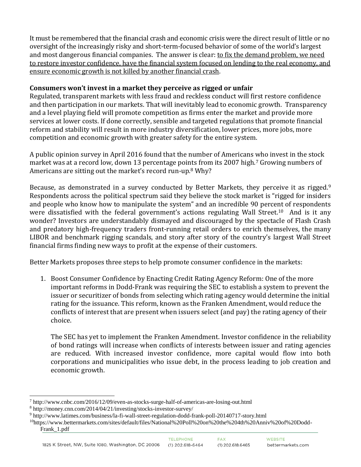It must be remembered that the financial crash and economic crisis were the direct result of little or no oversight of the increasingly risky and short-term-focused behavior of some of the world's largest and most dangerous financial companies. The answer is clear: to fix the demand problem, we need to restore investor confidence, have the financial system focused on lending to the real economy, and ensure economic growth is not killed by another financial crash.

### **Consumers won't invest in a market they perceive as rigged or unfair**

Regulated, transparent markets with less fraud and reckless conduct will first restore confidence and then participation in our markets. That will inevitably lead to economic growth. Transparency and a level playing field will promote competition as firms enter the market and provide more services at lower costs. If done correctly, sensible and targeted regulations that promote financial reform and stability will result in more industry diversification, lower prices, more jobs, more competition and economic growth with greater safety for the entire system.

A public opinion survey in April 2016 found that the number of Americans who invest in the stock market was at a record low, down 13 percentage points from its 2007 high.<sup>7</sup> Growing numbers of Americans are sitting out the market's record run-up.<sup>8</sup> Why?

Because, as demonstrated in a survey conducted by Better Markets, they perceive it as rigged.<sup>9</sup> Respondents across the political spectrum said they believe the stock market is "rigged for insiders and people who know how to manipulate the system" and an incredible 90 percent of respondents were dissatisfied with the federal government's actions regulating Wall Street.<sup>10</sup> And is it any wonder? Investors are understandably dismayed and discouraged by the spectacle of Flash Crash and predatory high-frequency traders front-running retail orders to enrich themselves, the many LIBOR and benchmark rigging scandals, and story after story of the country's largest Wall Street financial firms finding new ways to profit at the expense of their customers.

Better Markets proposes three steps to help promote consumer confidence in the markets:

1. Boost Consumer Confidence by Enacting Credit Rating Agency Reform: One of the more important reforms in Dodd-Frank was requiring the SEC to establish a system to prevent the issuer or securitizer of bonds from selecting which rating agency would determine the initial rating for the issuance. This reform, known as the Franken Amendment, would reduce the conflicts of interest that are present when issuers select (and pay) the rating agency of their choice.

The SEC has yet to implement the Franken Amendment. Investor confidence in the reliability of bond ratings will increase when conflicts of interests between issuer and rating agencies are reduced. With increased investor confidence, more capital would flow into both corporations and municipalities who issue debt, in the process leading to job creation and economic growth.

 $\overline{a}$ 

<sup>7</sup> http://www.cnbc.com/2016/12/09/even-as-stocks-surge-half-of-americas-are-losing-out.html

<sup>8</sup> http://money.cnn.com/2014/04/21/investing/stocks-investor-survey/

<sup>9</sup> http://www.latimes.com/business/la-fi-wall-street-regulation-dodd-frank-poll-20140717-story.html

<sup>10</sup>https://www.bettermarkets.com/sites/default/files/National%20Poll%20on%20the%204th%20Anniv%20of%20Dodd-Frank\_1.pdf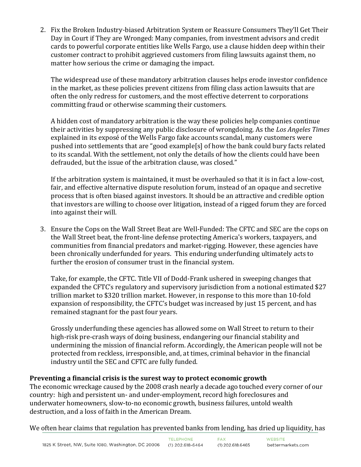2. Fix the Broken Industry-biased Arbitration System or Reassure Consumers They'll Get Their Day in Court if They are Wronged: Many companies, from investment advisors and credit cards to powerful corporate entities like Wells Fargo, use a clause hidden deep within their customer contract to prohibit aggrieved customers from filing lawsuits against them, no matter how serious the crime or damaging the impact.

The widespread use of these mandatory arbitration clauses helps erode investor confidence in the market, as these policies prevent citizens from filing class action lawsuits that are often the only redress for customers, and the most effective deterrent to corporations committing fraud or otherwise scamming their customers.

A hidden cost of mandatory arbitration is the way these policies help companies continue their activities by suppressing any public disclosure of wrongdoing. As the *Los Angeles Times* explained in its exposé of the Wells Fargo fake accounts scandal, many customers were pushed into settlements that are "good example[s] of how the bank could bury facts related to its scandal. With the settlement, not only the details of how the clients could have been defrauded, but the issue of the arbitration clause, was closed."

If the arbitration system is maintained, it must be overhauled so that it is in fact a low-cost, fair, and effective alternative dispute resolution forum, instead of an opaque and secretive process that is often biased against investors. It should be an attractive and credible option that investors are willing to choose over litigation, instead of a rigged forum they are forced into against their will.

3. Ensure the Cops on the Wall Street Beat are Well-Funded: The CFTC and SEC are the cops on the Wall Street beat, the front-line defense protecting America's workers, taxpayers, and communities from financial predators and market-rigging. However, these agencies have been chronically underfunded for years. This enduring underfunding ultimately acts to further the erosion of consumer trust in the financial system.

Take, for example, the CFTC. Title VII of Dodd-Frank ushered in sweeping changes that expanded the CFTC's regulatory and supervisory jurisdiction from a notional estimated \$27 trillion market to \$320 trillion market. However, in response to this more than 10-fold expansion of responsibility, the CFTC's budget was increased by just 15 percent, and has remained stagnant for the past four years.

Grossly underfunding these agencies has allowed some on Wall Street to return to their high-risk pre-crash ways of doing business, endangering our financial stability and undermining the mission of financial reform. Accordingly, the American people will not be protected from reckless, irresponsible, and, at times, criminal behavior in the financial industry until the SEC and CFTC are fully funded.

# **Preventing a financial crisis is the surest way to protect economic growth**

The economic wreckage caused by the 2008 crash nearly a decade ago touched every corner of our country: high and persistent un- and under-employment, record high foreclosures and underwater homeowners, slow-to-no economic growth, business failures, untold wealth destruction, and a loss of faith in the American Dream.

We often hear claims that regulation has prevented banks from lending, has dried up liquidity, has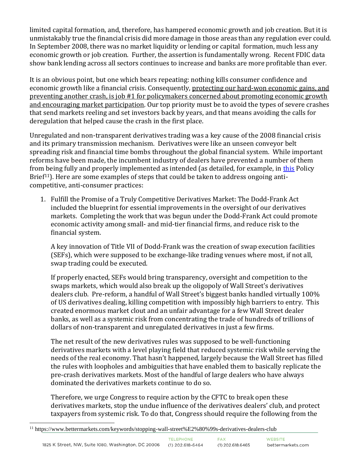limited capital formation, and, therefore, has hampered economic growth and job creation. But it is unmistakably true the financial crisis did more damage in those areas than any regulation ever could. In September 2008, there was no market liquidity or lending or capital formation, much less any economic growth or job creation. Further, the assertion is fundamentally wrong. Recent FDIC data show bank lending across all sectors continues to increase and banks are more profitable than ever.

It is an obvious point, but one which bears repeating: nothing kills consumer confidence and economic growth like a financial crisis. Consequently, protecting our hard-won economic gains, and preventing another crash, is job #1 for policymakers concerned about promoting economic growth and encouraging market participation. Our top priority must be to avoid the types of severe crashes that send markets reeling and set investors back by years, and that means avoiding the calls for deregulation that helped cause the crash in the first place.

Unregulated and non-transparent derivatives trading was a key cause of the 2008 financial crisis and its primary transmission mechanism. Derivatives were like an unseen conveyor belt spreading risk and financial time bombs throughout the global financial system. While important reforms have been made, the incumbent industry of dealers have prevented a number of them from being fully and properly implemented as intended (as detailed, for example, in [this](https://www.bettermarkets.com/sites/default/files/Better%20Markets%20Policy%20Brief%20-%20Stopping%20Wall%20Street%E2%80%99s%20Derivatives%20Dealers%20Club.pdf) Policy Brief<sup>11</sup>). Here are some examples of steps that could be taken to address ongoing anticompetitive, anti-consumer practices:

1. Fulfill the Promise of a Truly Competitive Derivatives Market: The Dodd-Frank Act included the blueprint for essential improvements in the oversight of our derivatives markets. Completing the work that was begun under the Dodd-Frank Act could promote economic activity among small- and mid-tier financial firms, and reduce risk to the financial system.

A key innovation of Title VII of Dodd-Frank was the creation of swap execution facilities (SEFs), which were supposed to be exchange-like trading venues where most, if not all, swap trading could be executed.

If properly enacted, SEFs would bring transparency, oversight and competition to the swaps markets, which would also break up the oligopoly of Wall Street's derivatives dealers club. Pre-reform, a handful of Wall Street's biggest banks handled virtually 100% of US derivatives dealing, killing competition with impossibly high barriers to entry. This created enormous market clout and an unfair advantage for a few Wall Street dealer banks, as well as a systemic risk from concentrating the trade of hundreds of trillions of dollars of non-transparent and unregulated derivatives in just a few firms.

The net result of the new derivatives rules was supposed to be well-functioning derivatives markets with a level playing field that reduced systemic risk while serving the needs of the real economy. That hasn't happened, largely because the Wall Street has filled the rules with loopholes and ambiguities that have enabled them to basically replicate the pre-crash derivatives markets. Most of the handful of large dealers who have always dominated the derivatives markets continue to do so.

Therefore, we urge Congress to require action by the CFTC to break open these derivatives markets, stop the undue influence of the derivatives dealers' club, and protect taxpayers from systemic risk. To do that, Congress should require the following from the

 $\overline{a}$ <sup>11</sup> https://www.bettermarkets.com/keywords/stopping-wall-street%E2%80%99s-derivatives-dealers-club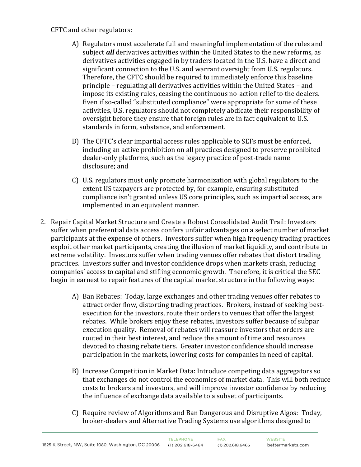#### CFTC and other regulators:

- A) Regulators must accelerate full and meaningful implementation of the rules and subject *all* derivatives activities within the United States to the new reforms, as derivatives activities engaged in by traders located in the U.S. have a direct and significant connection to the U.S. and warrant oversight from U.S. regulators. Therefore, the CFTC should be required to immediately enforce this baseline principle – regulating all derivatives activities within the United States – and impose its existing rules, ceasing the continuous no-action relief to the dealers. Even if so-called "substituted compliance" were appropriate for some of these activities, U.S. regulators should not completely abdicate their responsibility of oversight before they ensure that foreign rules are in fact equivalent to U.S. standards in form, substance, and enforcement.
- B) The CFTC's clear impartial access rules applicable to SEFs must be enforced, including an active prohibition on all practices designed to preserve prohibited dealer-only platforms, such as the legacy practice of post-trade name disclosure; and
- C) U.S. regulators must only promote harmonization with global regulators to the extent US taxpayers are protected by, for example, ensuring substituted compliance isn't granted unless US core principles, such as impartial access, are implemented in an equivalent manner.
- 2. Repair Capital Market Structure and Create a Robust Consolidated Audit Trail: Investors suffer when preferential data access confers unfair advantages on a select number of market participants at the expense of others. Investors suffer when high frequency trading practices exploit other market participants, creating the illusion of market liquidity, and contribute to extreme volatility. Investors suffer when trading venues offer rebates that distort trading practices. Investors suffer and investor confidence drops when markets crash, reducing companies' access to capital and stifling economic growth. Therefore, it is critical the SEC begin in earnest to repair features of the capital market structure in the following ways:
	- A) Ban Rebates: Today, large exchanges and other trading venues offer rebates to attract order flow, distorting trading practices. Brokers, instead of seeking bestexecution for the investors, route their orders to venues that offer the largest rebates. While brokers enjoy these rebates, investors suffer because of subpar execution quality. Removal of rebates will reassure investors that orders are routed in their best interest, and reduce the amount of time and resources devoted to chasing rebate tiers. Greater investor confidence should increase participation in the markets, lowering costs for companies in need of capital.
	- B) Increase Competition in Market Data: Introduce competing data aggregators so that exchanges do not control the economics of market data. This will both reduce costs to brokers and investors, and will improve investor confidence by reducing the influence of exchange data available to a subset of participants.
	- C) Require review of Algorithms and Ban Dangerous and Disruptive Algos: Today, broker-dealers and Alternative Trading Systems use algorithms designed to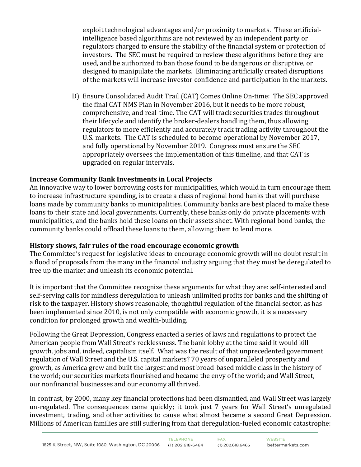exploit technological advantages and/or proximity to markets. These artificialintelligence based algorithms are not reviewed by an independent party or regulators charged to ensure the stability of the financial system or protection of investors. The SEC must be required to review these algorithms before they are used, and be authorized to ban those found to be dangerous or disruptive, or designed to manipulate the markets. Eliminating artificially created disruptions of the markets will increase investor confidence and participation in the markets.

D) Ensure Consolidated Audit Trail (CAT) Comes Online On-time: The SEC approved the final CAT NMS Plan in November 2016, but it needs to be more robust, comprehensive, and real-time. The CAT will track securities trades throughout their lifecycle and identify the broker-dealers handling them, thus allowing regulators to more efficiently and accurately track trading activity throughout the U.S. markets. The CAT is scheduled to become operational by November 2017, and fully operational by November 2019. Congress must ensure the SEC appropriately oversees the implementation of this timeline, and that CAT is upgraded on regular intervals.

### **Increase Community Bank Investments in Local Projects**

An innovative way to lower borrowing costs for municipalities, which would in turn encourage them to increase infrastructure spending, is to create a class of regional bond banks that will purchase loans made by community banks to municipalities. Community banks are best placed to make these loans to their state and local governments. Currently, these banks only do private placements with municipalities, and the banks hold these loans on their assets sheet. With regional bond banks, the community banks could offload these loans to them, allowing them to lend more.

#### **History shows, fair rules of the road encourage economic growth**

The Committee's request for legislative ideas to encourage economic growth will no doubt result in a flood of proposals from the many in the financial industry arguing that they must be deregulated to free up the market and unleash its economic potential.

It is important that the Committee recognize these arguments for what they are: self-interested and self-serving calls for mindless deregulation to unleash unlimited profits for banks and the shifting of risk to the taxpayer. History shows reasonable, thoughtful regulation of the financial sector, as has been implemented since 2010, is not only compatible with economic growth, it is a necessary condition for prolonged growth and wealth-building.

Following the Great Depression, Congress enacted a series of laws and regulations to protect the American people from Wall Street's recklessness. The bank lobby at the time said it would kill growth, jobs and, indeed, capitalism itself. What was the result of that unprecedented government regulation of Wall Street and the U.S. capital markets? 70 years of unparalleled prosperity and growth, as America grew and built the largest and most broad-based middle class in the history of the world; our securities markets flourished and became the envy of the world; and Wall Street, our nonfinancial businesses and our economy all thrived.

In contrast, by 2000, many key financial protections had been dismantled, and Wall Street was largely un-regulated. The consequences came quickly; it took just 7 years for Wall Street's unregulated investment, trading, and other activities to cause what almost became a second Great Depression. Millions of American families are still suffering from that deregulation-fueled economic catastrophe: